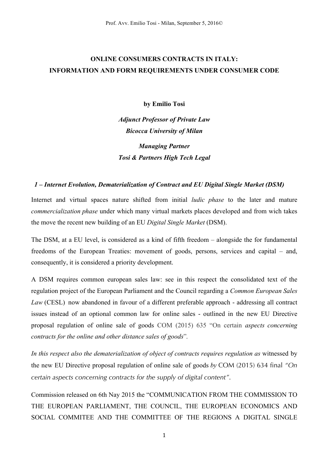# **ONLINE CONSUMERS CONTRACTS IN ITALY: INFORMATION AND FORM REQUIREMENTS UNDER CONSUMER CODE**

**by Emilio Tosi**

*Adjunct Professor of Private Law Bicocca University of Milan Managing Partner Tosi & Partners High Tech Legal*

#### *1 – Internet Evolution, Dematerialization of Contract and EU Digital Single Market (DSM)*

Internet and virtual spaces nature shifted from initial *ludic phase* to the later and mature *commercialization phase* under which many virtual markets places developed and from wich takes the move the recent new building of an EU *Digital Single Market* (DSM).

The DSM, at a EU level, is considered as a kind of fifth freedom – alongside the for fundamental freedoms of the European Treaties: movement of goods, persons, services and capital – and, consequently, it is considered a priority development.

A DSM requires common european sales law: see in this respect the consolidated text of the regulation project of the European Parliament and the Council regarding a *Common European Sales Law* (CESL) now abandoned in favour of a different preferable approach - addressing all contract issues instead of an optional common law for online sales - outlined in the new EU Directive proposal regulation of online sale of goods COM (2015) 635 "On certain *aspects concerning contracts for the online and other distance sales of goods*"*.*

In this respect also the dematerialization of object of contracts requires regulation as witnessed by the new EU Directive proposal regulation of online sale of goods *by* COM (2015) 634 final *"On certain aspects concerning contracts for the supply of digital content"*.

Commission released on 6th Nay 2015 the "COMMUNICATION FROM THE COMMISSION TO THE EUROPEAN PARLIAMENT, THE COUNCIL, THE EUROPEAN ECONOMICS AND SOCIAL COMMITEE AND THE COMMITTEE OF THE REGIONS A DIGITAL SINGLE

1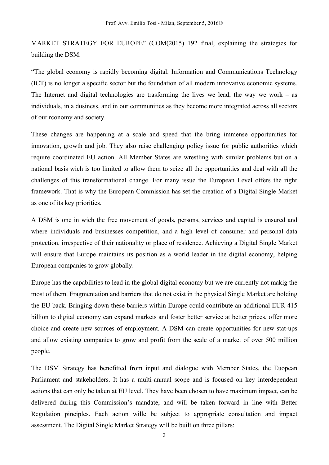MARKET STRATEGY FOR EUROPE" (COM(2015) 192 final, explaining the strategies for building the DSM.

"The global economy is rapidly becoming digital. Information and Communications Technology (ICT) is no longer a specific sector but the foundation of all modern innovative economic systems. The Internet and digital technologies are trasforming the lives we lead, the way we work – as individuals, in a dusiness, and in our communities as they become more integrated across all sectors of our rconomy and society.

These changes are happening at a scale and speed that the bring immense opportunities for innovation, growth and job. They also raise challenging policy issue for public authorities which require coordinated EU action. All Member States are wrestling with similar problems but on a national basis wich is too limited to allow them to seize all the opportunities and deal with all the challenges of this transformational change. For many issue the European Level offers the righr framework. That is why the European Commission has set the creation of a Digital Single Market as one of its key priorities.

A DSM is one in wich the free movement of goods, persons, services and capital is ensured and where individuals and businesses competition, and a high level of consumer and personal data protection, irrespective of their nationality or place of residence. Achieving a Digital Single Market will ensure that Europe maintains its position as a world leader in the digital economy, helping European companies to grow globally.

Europe has the capabilities to lead in the global digital economy but we are currently not makig the most of them. Fragmentation and barriers that do not exist in the physical Single Market are holding the EU back. Bringing down these barriers within Europe could contribute an additional EUR 415 billion to digital economy can expand markets and foster better service at better prices, offer more choice and create new sources of employment. A DSM can create opportunities for new stat-ups and allow existing companies to grow and profit from the scale of a market of over 500 million people.

The DSM Strategy has benefitted from input and dialogue with Member States, the Euopean Parliament and stakeholders. It has a multi-annual scope and is focused on key interdependent actions that can only be taken at EU level. They have been chosen to have maximum impact, can be delivered during this Commission's mandate, and will be taken forward in line with Better Regulation pinciples. Each action wille be subject to appropriate consultation and impact assessment. The Digital Single Market Strategy will be built on three pillars: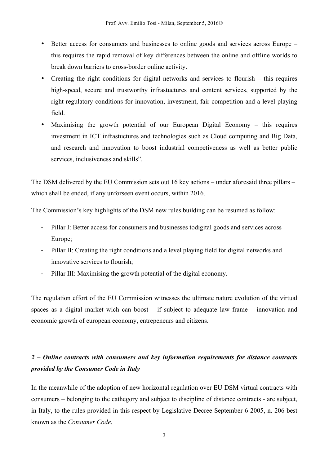- Better access for consumers and businesses to online goods and services across Europe this requires the rapid removal of key differences between the online and offline worlds to break down barriers to cross-border online activity.
- Creating the right conditions for digital networks and services to flourish this requires high-speed, secure and trustworthy infrastuctures and content services, supported by the right regulatory conditions for innovation, investment, fair competition and a level playing field.
- Maximising the growth potential of our European Digital Economy this requires investment in ICT infrastuctures and technologies such as Cloud computing and Big Data, and research and innovation to boost industrial competiveness as well as better public services, inclusiveness and skills".

The DSM delivered by the EU Commission sets out 16 key actions – under aforesaid three pillars – which shall be ended, if any unforseen event occurs, within 2016.

The Commission's key highlights of the DSM new rules building can be resumed as follow:

- Pillar I: Better access for consumers and businesses todigital goods and services across Europe;
- Pillar II: Creating the right conditions and a level playing field for digital networks and innovative services to flourish;
- Pillar III: Maximising the growth potential of the digital economy.

The regulation effort of the EU Commission witnesses the ultimate nature evolution of the virtual spaces as a digital market wich can boost – if subject to adequate law frame – innovation and economic growth of european economy, entrepeneurs and citizens.

## *2 – Online contracts with consumers and key information requirements for distance contracts provided by the Consumer Code in Italy*

In the meanwhile of the adoption of new horizontal regulation over EU DSM virtual contracts with consumers – belonging to the cathegory and subject to discipline of distance contracts - are subject, in Italy, to the rules provided in this respect by Legislative Decree September 6 2005, n. 206 best known as the *Consumer Code*.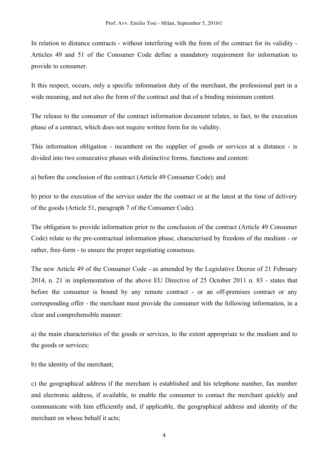In relation to distance contracts - without interfering with the form of the contract for its validity - Articles 49 and 51 of the Consumer Code define a mandatory requirement for information to provide to consumer.

It this respect, occurs, only a specific information duty of the merchant, the professional part in a wide meaning, and not also the form of the contract and that of a binding minimum content.

The release to the consumer of the contract information document relates, in fact, to the execution phase of a contract, which does not require written form for its validity.

This information obligation - incumbent on the supplier of goods or services at a distance - is divided into two consecutive phases with distinctive forms, functions and content:

a) before the conclusion of the contract (Article 49 Consumer Code); and

b) prior to the execution of the service under the the contract or at the latest at the time of delivery of the goods (Article 51, paragraph 7 of the Consumer Code).

The obligation to provide information prior to the conclusion of the contract (Article 49 Consumer Code) relate to the pre-contractual information phase, characterised by freedom of the medium - or rather, free-form - to ensure the proper negotiating consensus.

The new Article 49 of the Consumer Code - as amended by the Legislative Decree of 21 February 2014, n. 21 in implementation of the above EU Directive of 25 October 2011 n. 83 - states that before the consumer is bound by any remote contract - or an off-premises contract or any corresponding offer - the merchant must provide the consumer with the following information, in a clear and comprehensible manner:

a) the main characteristics of the goods or services, to the extent appropriate to the medium and to the goods or services;

b) the identity of the merchant;

c) the geographical address if the merchant is established and his telephone number, fax number and electronic address, if available, to enable the consumer to contact the merchant quickly and communicate with him efficiently and, if applicable, the geographical address and identity of the merchant on whose behalf it acts;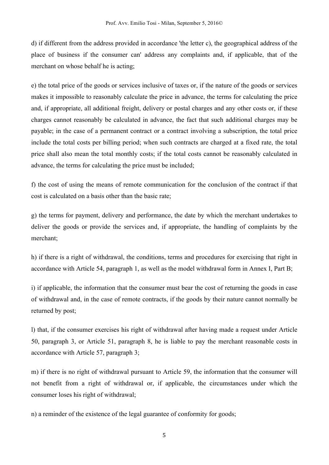d) if different from the address provided in accordance 'the letter c), the geographical address of the place of business if the consumer can' address any complaints and, if applicable, that of the merchant on whose behalf he is acting;

e) the total price of the goods or services inclusive of taxes or, if the nature of the goods or services makes it impossible to reasonably calculate the price in advance, the terms for calculating the price and, if appropriate, all additional freight, delivery or postal charges and any other costs or, if these charges cannot reasonably be calculated in advance, the fact that such additional charges may be payable; in the case of a permanent contract or a contract involving a subscription, the total price include the total costs per billing period; when such contracts are charged at a fixed rate, the total price shall also mean the total monthly costs; if the total costs cannot be reasonably calculated in advance, the terms for calculating the price must be included;

f) the cost of using the means of remote communication for the conclusion of the contract if that cost is calculated on a basis other than the basic rate;

g) the terms for payment, delivery and performance, the date by which the merchant undertakes to deliver the goods or provide the services and, if appropriate, the handling of complaints by the merchant;

h) if there is a right of withdrawal, the conditions, terms and procedures for exercising that right in accordance with Article 54, paragraph 1, as well as the model withdrawal form in Annex I, Part B;

i) if applicable, the information that the consumer must bear the cost of returning the goods in case of withdrawal and, in the case of remote contracts, if the goods by their nature cannot normally be returned by post;

l) that, if the consumer exercises his right of withdrawal after having made a request under Article 50, paragraph 3, or Article 51, paragraph 8, he is liable to pay the merchant reasonable costs in accordance with Article 57, paragraph 3;

m) if there is no right of withdrawal pursuant to Article 59, the information that the consumer will not benefit from a right of withdrawal or, if applicable, the circumstances under which the consumer loses his right of withdrawal;

n) a reminder of the existence of the legal guarantee of conformity for goods;

5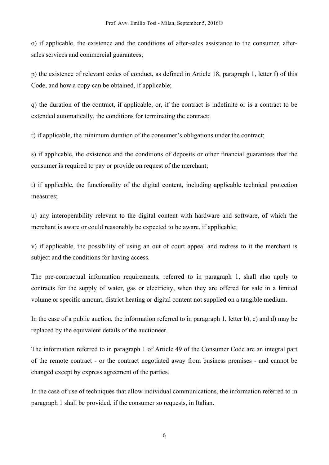o) if applicable, the existence and the conditions of after-sales assistance to the consumer, aftersales services and commercial guarantees;

p) the existence of relevant codes of conduct, as defined in Article 18, paragraph 1, letter f) of this Code, and how a copy can be obtained, if applicable;

q) the duration of the contract, if applicable, or, if the contract is indefinite or is a contract to be extended automatically, the conditions for terminating the contract;

r) if applicable, the minimum duration of the consumer's obligations under the contract;

s) if applicable, the existence and the conditions of deposits or other financial guarantees that the consumer is required to pay or provide on request of the merchant;

t) if applicable, the functionality of the digital content, including applicable technical protection measures;

u) any interoperability relevant to the digital content with hardware and software, of which the merchant is aware or could reasonably be expected to be aware, if applicable;

v) if applicable, the possibility of using an out of court appeal and redress to it the merchant is subject and the conditions for having access.

The pre-contractual information requirements, referred to in paragraph 1, shall also apply to contracts for the supply of water, gas or electricity, when they are offered for sale in a limited volume or specific amount, district heating or digital content not supplied on a tangible medium.

In the case of a public auction, the information referred to in paragraph 1, letter b), c) and d) may be replaced by the equivalent details of the auctioneer.

The information referred to in paragraph 1 of Article 49 of the Consumer Code are an integral part of the remote contract - or the contract negotiated away from business premises - and cannot be changed except by express agreement of the parties.

In the case of use of techniques that allow individual communications, the information referred to in paragraph 1 shall be provided, if the consumer so requests, in Italian.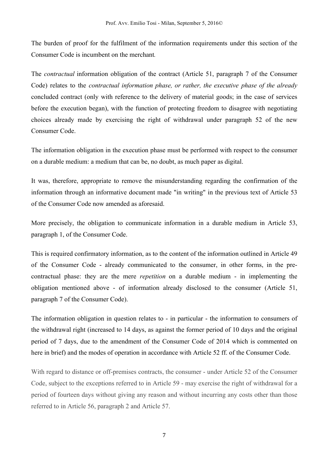The burden of proof for the fulfilment of the information requirements under this section of the Consumer Code is incumbent on the merchant*.*

The *contractual* information obligation of the contract (Article 51, paragraph 7 of the Consumer Code) relates to the *contractual information phase, or rather, the executive phase of the already*  concluded contract (only with reference to the delivery of material goods; in the case of services before the execution began), with the function of protecting freedom to disagree with negotiating choices already made by exercising the right of withdrawal under paragraph 52 of the new Consumer Code.

The information obligation in the execution phase must be performed with respect to the consumer on a durable medium: a medium that can be, no doubt, as much paper as digital.

It was, therefore, appropriate to remove the misunderstanding regarding the confirmation of the information through an informative document made "in writing" in the previous text of Article 53 of the Consumer Code now amended as aforesaid.

More precisely, the obligation to communicate information in a durable medium in Article 53, paragraph 1, of the Consumer Code.

This is required confirmatory information, as to the content of the information outlined in Article 49 of the Consumer Code - already communicated to the consumer, in other forms, in the precontractual phase: they are the mere *repetition* on a durable medium - in implementing the obligation mentioned above - of information already disclosed to the consumer (Article 51, paragraph 7 of the Consumer Code).

The information obligation in question relates to - in particular - the information to consumers of the withdrawal right (increased to 14 days, as against the former period of 10 days and the original period of 7 days, due to the amendment of the Consumer Code of 2014 which is commented on here in brief) and the modes of operation in accordance with Article 52 ff. of the Consumer Code.

With regard to distance or off-premises contracts, the consumer - under Article 52 of the Consumer Code, subject to the exceptions referred to in Article 59 - may exercise the right of withdrawal for a period of fourteen days without giving any reason and without incurring any costs other than those referred to in Article 56, paragraph 2 and Article 57.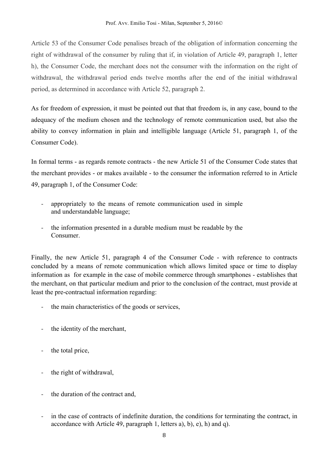Article 53 of the Consumer Code penalises breach of the obligation of information concerning the right of withdrawal of the consumer by ruling that if, in violation of Article 49, paragraph 1, letter h), the Consumer Code, the merchant does not the consumer with the information on the right of withdrawal, the withdrawal period ends twelve months after the end of the initial withdrawal period, as determined in accordance with Article 52, paragraph 2.

As for freedom of expression, it must be pointed out that that freedom is, in any case, bound to the adequacy of the medium chosen and the technology of remote communication used, but also the ability to convey information in plain and intelligible language (Article 51, paragraph 1, of the Consumer Code).

In formal terms - as regards remote contracts - the new Article 51 of the Consumer Code states that the merchant provides - or makes available - to the consumer the information referred to in Article 49, paragraph 1, of the Consumer Code:

- appropriately to the means of remote communication used in simple and understandable language;
- the information presented in a durable medium must be readable by the Consumer.

Finally, the new Article 51, paragraph 4 of the Consumer Code - with reference to contracts concluded by a means of remote communication which allows limited space or time to display information as for example in the case of mobile commerce through smartphones - establishes that the merchant, on that particular medium and prior to the conclusion of the contract, must provide at least the pre-contractual information regarding:

- the main characteristics of the goods or services,
- the identity of the merchant,
- the total price,
- the right of withdrawal,
- the duration of the contract and,
- in the case of contracts of indefinite duration, the conditions for terminating the contract, in accordance with Article 49, paragraph 1, letters a), b), e), h) and q).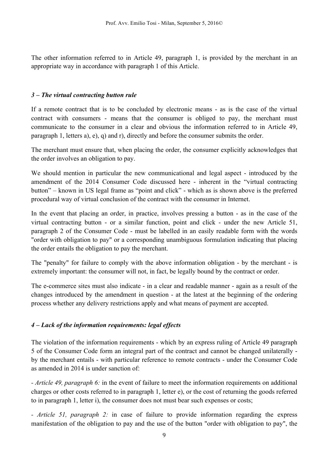The other information referred to in Article 49, paragraph 1, is provided by the merchant in an appropriate way in accordance with paragraph 1 of this Article.

#### *3 – The virtual contracting button rule*

If a remote contract that is to be concluded by electronic means - as is the case of the virtual contract with consumers - means that the consumer is obliged to pay, the merchant must communicate to the consumer in a clear and obvious the information referred to in Article 49, paragraph 1, letters a), e), q) and r), directly and before the consumer submits the order.

The merchant must ensure that, when placing the order, the consumer explicitly acknowledges that the order involves an obligation to pay.

We should mention in particular the new communicational and legal aspect - introduced by the amendment of the 2014 Consumer Code discussed here - inherent in the "virtual contracting button" – known in US legal frame as "point and click" - which as is shown above is the preferred procedural way of virtual conclusion of the contract with the consumer in Internet.

In the event that placing an order, in practice, involves pressing a button - as in the case of the virtual contracting button - or a similar function, point and click - under the new Article 51, paragraph 2 of the Consumer Code - must be labelled in an easily readable form with the words "order with obligation to pay" or a corresponding unambiguous formulation indicating that placing the order entails the obligation to pay the merchant.

The "penalty" for failure to comply with the above information obligation - by the merchant - is extremely important: the consumer will not, in fact, be legally bound by the contract or order.

The e-commerce sites must also indicate - in a clear and readable manner - again as a result of the changes introduced by the amendment in question - at the latest at the beginning of the ordering process whether any delivery restrictions apply and what means of payment are accepted.

### *4 – Lack of the information requirements: legal effects*

The violation of the information requirements - which by an express ruling of Article 49 paragraph 5 of the Consumer Code form an integral part of the contract and cannot be changed unilaterally by the merchant entails - with particular reference to remote contracts - under the Consumer Code as amended in 2014 is under sanction of:

*- Article 49, paragraph 6:* in the event of failure to meet the information requirements on additional charges or other costs referred to in paragraph 1, letter e), or the cost of returning the goods referred to in paragraph 1, letter i), the consumer does not must bear such expenses or costs;

*- Article 51, paragraph 2:* in case of failure to provide information regarding the express manifestation of the obligation to pay and the use of the button "order with obligation to pay", the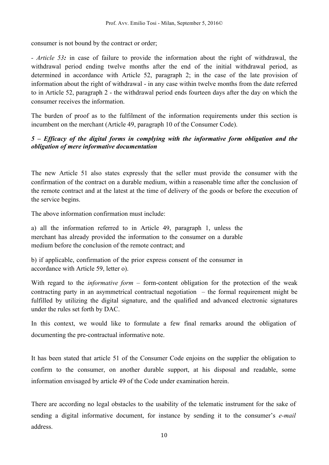consumer is not bound by the contract or order;

*- Article 53:* in case of failure to provide the information about the right of withdrawal, the withdrawal period ending twelve months after the end of the initial withdrawal period, as determined in accordance with Article 52, paragraph 2; in the case of the late provision of information about the right of withdrawal - in any case within twelve months from the date referred to in Article 52, paragraph 2 - the withdrawal period ends fourteen days after the day on which the consumer receives the information.

The burden of proof as to the fulfilment of the information requirements under this section is incumbent on the merchant (Article 49, paragraph 10 of the Consumer Code).

### *5 – Efficacy of the digital forms in complying with the informative form obligation and the obligation of mere informative documentation*

The new Article 51 also states expressly that the seller must provide the consumer with the confirmation of the contract on a durable medium, within a reasonable time after the conclusion of the remote contract and at the latest at the time of delivery of the goods or before the execution of the service begins.

The above information confirmation must include:

a) all the information referred to in Article 49, paragraph 1, unless the merchant has already provided the information to the consumer on a durable medium before the conclusion of the remote contract; and

b) if applicable, confirmation of the prior express consent of the consumer in accordance with Article 59, letter o).

With regard to the *informative form* – form-content obligation for the protection of the weak contracting party in an asymmetrical contractual negotiation – the formal requirement might be fulfilled by utilizing the digital signature, and the qualified and advanced electronic signatures under the rules set forth by DAC.

In this context, we would like to formulate a few final remarks around the obligation of documenting the pre-contractual informative note.

It has been stated that article 51 of the Consumer Code enjoins on the supplier the obligation to confirm to the consumer, on another durable support, at his disposal and readable, some information envisaged by article 49 of the Code under examination herein.

There are according no legal obstacles to the usability of the telematic instrument for the sake of sending a digital informative document, for instance by sending it to the consumer's *e-mail* address.